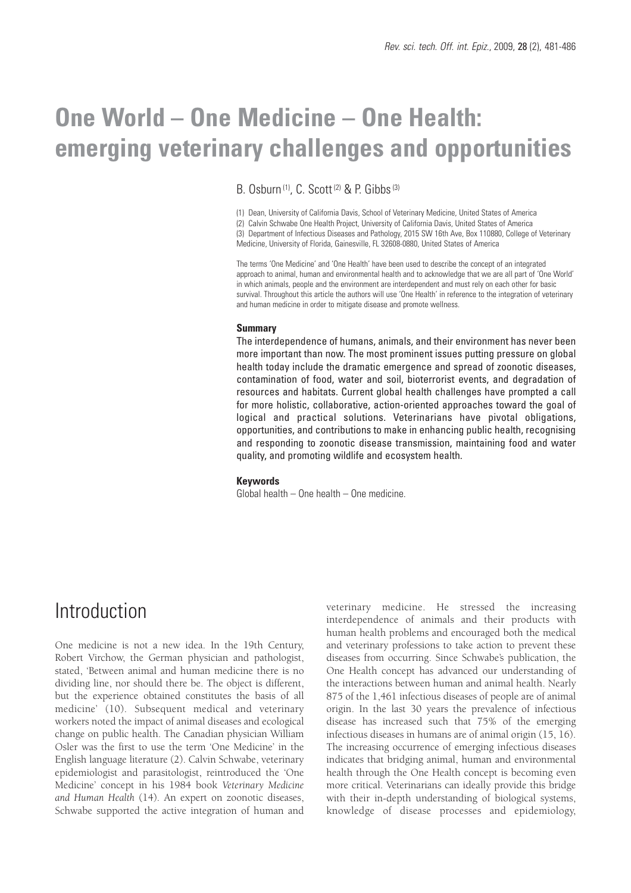# **One World – One Medicine – One Health: emerging veterinary challenges and opportunities**

B. Osburn<sup>(1)</sup>, C. Scott<sup>(2)</sup> & P. Gibbs<sup>(3)</sup>

(1) Dean, University of California Davis, School of Veterinary Medicine, United States of America (2) Calvin Schwabe One Health Project, University of California Davis, United States of America (3) Department of Infectious Diseases and Pathology, 2015 SW 16th Ave, Box 110880, College of Veterinary Medicine, University of Florida, Gainesville, FL 32608-0880, United States of America

The terms 'One Medicine' and 'One Health' have been used to describe the concept of an integrated approach to animal, human and environmental health and to acknowledge that we are all part of 'One World' in which animals, people and the environment are interdependent and must rely on each other for basic survival. Throughout this article the authors will use 'One Health' in reference to the integration of veterinary and human medicine in order to mitigate disease and promote wellness.

#### **Summary**

The interdependence of humans, animals, and their environment has never been more important than now. The most prominent issues putting pressure on global health today include the dramatic emergence and spread of zoonotic diseases, contamination of food, water and soil, bioterrorist events, and degradation of resources and habitats. Current global health challenges have prompted a call for more holistic, collaborative, action-oriented approaches toward the goal of logical and practical solutions. Veterinarians have pivotal obligations, opportunities, and contributions to make in enhancing public health, recognising and responding to zoonotic disease transmission, maintaining food and water quality, and promoting wildlife and ecosystem health.

#### **Keywords**

Global health – One health – One medicine.

# **Introduction**

One medicine is not a new idea. In the 19th Century, Robert Virchow, the German physician and pathologist, stated, 'Between animal and human medicine there is no dividing line, nor should there be. The object is different, but the experience obtained constitutes the basis of all medicine' (10). Subsequent medical and veterinary workers noted the impact of animal diseases and ecological change on public health. The Canadian physician William Osler was the first to use the term 'One Medicine' in the English language literature (2). Calvin Schwabe, veterinary epidemiologist and parasitologist, reintroduced the 'One Medicine' concept in his 1984 book *Veterinary Medicine and Human Health* (14). An expert on zoonotic diseases, Schwabe supported the active integration of human and

veterinary medicine. He stressed the increasing interdependence of animals and their products with human health problems and encouraged both the medical and veterinary professions to take action to prevent these diseases from occurring. Since Schwabe's publication, the One Health concept has advanced our understanding of the interactions between human and animal health. Nearly 875 of the 1,461 infectious diseases of people are of animal origin. In the last 30 years the prevalence of infectious disease has increased such that 75% of the emerging infectious diseases in humans are of animal origin (15, 16). The increasing occurrence of emerging infectious diseases indicates that bridging animal, human and environmental health through the One Health concept is becoming even more critical. Veterinarians can ideally provide this bridge with their in-depth understanding of biological systems, knowledge of disease processes and epidemiology,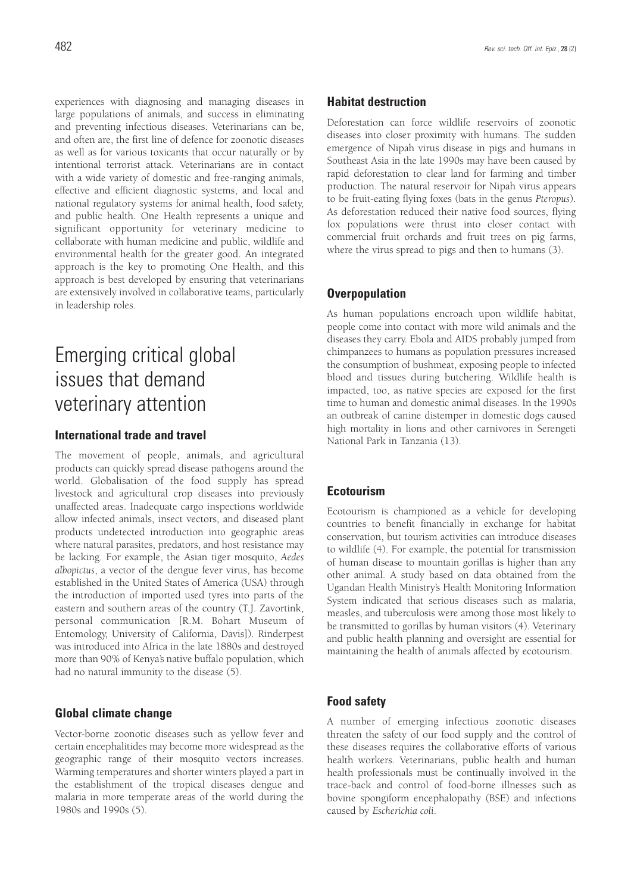experiences with diagnosing and managing diseases in large populations of animals, and success in eliminating and preventing infectious diseases. Veterinarians can be, and often are, the first line of defence for zoonotic diseases as well as for various toxicants that occur naturally or by intentional terrorist attack. Veterinarians are in contact with a wide variety of domestic and free-ranging animals, effective and efficient diagnostic systems, and local and national regulatory systems for animal health, food safety, and public health. One Health represents a unique and significant opportunity for veterinary medicine to collaborate with human medicine and public, wildlife and environmental health for the greater good. An integrated approach is the key to promoting One Health, and this approach is best developed by ensuring that veterinarians are extensively involved in collaborative teams, particularly in leadership roles.

# Emerging critical global issues that demand veterinary attention

## **International trade and travel**

The movement of people, animals, and agricultural products can quickly spread disease pathogens around the world. Globalisation of the food supply has spread livestock and agricultural crop diseases into previously unaffected areas. Inadequate cargo inspections worldwide allow infected animals, insect vectors, and diseased plant products undetected introduction into geographic areas where natural parasites, predators, and host resistance may be lacking. For example, the Asian tiger mosquito, *Aedes albopictus*, a vector of the dengue fever virus, has become established in the United States of America (USA) through the introduction of imported used tyres into parts of the eastern and southern areas of the country (T.J. Zavortink, personal communication [R.M. Bohart Museum of Entomology, University of California, Davis]). Rinderpest was introduced into Africa in the late 1880s and destroyed more than 90% of Kenya's native buffalo population, which had no natural immunity to the disease (5).

### **Global climate change**

Vector-borne zoonotic diseases such as yellow fever and certain encephalitides may become more widespread as the geographic range of their mosquito vectors increases. Warming temperatures and shorter winters played a part in the establishment of the tropical diseases dengue and malaria in more temperate areas of the world during the 1980s and 1990s (5).

### **Habitat destruction**

Deforestation can force wildlife reservoirs of zoonotic diseases into closer proximity with humans. The sudden emergence of Nipah virus disease in pigs and humans in Southeast Asia in the late 1990s may have been caused by rapid deforestation to clear land for farming and timber production. The natural reservoir for Nipah virus appears to be fruit-eating flying foxes (bats in the genus *Pteropus*). As deforestation reduced their native food sources, flying fox populations were thrust into closer contact with commercial fruit orchards and fruit trees on pig farms, where the virus spread to pigs and then to humans (3).

#### **Overpopulation**

As human populations encroach upon wildlife habitat, people come into contact with more wild animals and the diseases they carry. Ebola and AIDS probably jumped from chimpanzees to humans as population pressures increased the consumption of bushmeat, exposing people to infected blood and tissues during butchering. Wildlife health is impacted, too, as native species are exposed for the first time to human and domestic animal diseases. In the 1990s an outbreak of canine distemper in domestic dogs caused high mortality in lions and other carnivores in Serengeti National Park in Tanzania (13).

### **Ecotourism**

Ecotourism is championed as a vehicle for developing countries to benefit financially in exchange for habitat conservation, but tourism activities can introduce diseases to wildlife (4). For example, the potential for transmission of human disease to mountain gorillas is higher than any other animal. A study based on data obtained from the Ugandan Health Ministry's Health Monitoring Information System indicated that serious diseases such as malaria, measles, and tuberculosis were among those most likely to be transmitted to gorillas by human visitors (4). Veterinary and public health planning and oversight are essential for maintaining the health of animals affected by ecotourism.

## **Food safety**

A number of emerging infectious zoonotic diseases threaten the safety of our food supply and the control of these diseases requires the collaborative efforts of various health workers. Veterinarians, public health and human health professionals must be continually involved in the trace-back and control of food-borne illnesses such as bovine spongiform encephalopathy (BSE) and infections caused by *Escherichia coli*.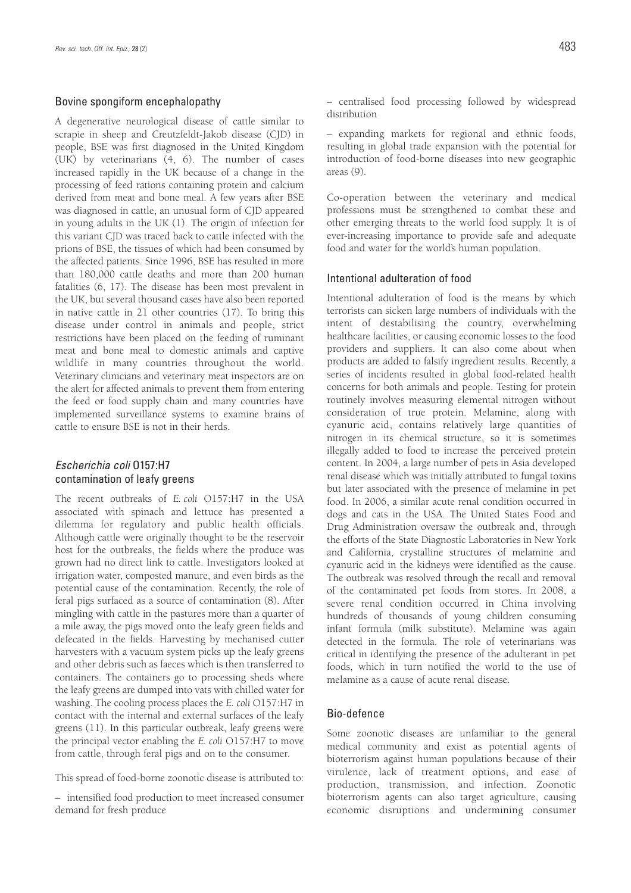#### Bovine spongiform encephalopathy

A degenerative neurological disease of cattle similar to scrapie in sheep and Creutzfeldt-Jakob disease (CJD) in people, BSE was first diagnosed in the United Kingdom  $(UK)$  by veterinarians  $(4, 6)$ . The number of cases increased rapidly in the UK because of a change in the processing of feed rations containing protein and calcium derived from meat and bone meal. A few years after BSE was diagnosed in cattle, an unusual form of CJD appeared in young adults in the UK (1). The origin of infection for this variant CJD was traced back to cattle infected with the prions of BSE, the tissues of which had been consumed by the affected patients. Since 1996, BSE has resulted in more than 180,000 cattle deaths and more than 200 human fatalities (6, 17). The disease has been most prevalent in the UK, but several thousand cases have also been reported in native cattle in 21 other countries (17). To bring this disease under control in animals and people, strict restrictions have been placed on the feeding of ruminant meat and bone meal to domestic animals and captive wildlife in many countries throughout the world. Veterinary clinicians and veterinary meat inspectors are on the alert for affected animals to prevent them from entering the feed or food supply chain and many countries have implemented surveillance systems to examine brains of cattle to ensure BSE is not in their herds.

#### *Escherichia coli* O157:H7 contamination of leafy greens

The recent outbreaks of *E. coli* O157:H7 in the USA associated with spinach and lettuce has presented a dilemma for regulatory and public health officials. Although cattle were originally thought to be the reservoir host for the outbreaks, the fields where the produce was grown had no direct link to cattle. Investigators looked at irrigation water, composted manure, and even birds as the potential cause of the contamination. Recently, the role of feral pigs surfaced as a source of contamination (8). After mingling with cattle in the pastures more than a quarter of a mile away, the pigs moved onto the leafy green fields and defecated in the fields. Harvesting by mechanised cutter harvesters with a vacuum system picks up the leafy greens and other debris such as faeces which is then transferred to containers. The containers go to processing sheds where the leafy greens are dumped into vats with chilled water for washing. The cooling process places the *E. coli* O157:H7 in contact with the internal and external surfaces of the leafy greens (11). In this particular outbreak, leafy greens were the principal vector enabling the *E. coli* O157:H7 to move from cattle, through feral pigs and on to the consumer.

This spread of food-borne zoonotic disease is attributed to:

– intensified food production to meet increased consumer demand for fresh produce

– centralised food processing followed by widespread distribution

– expanding markets for regional and ethnic foods, resulting in global trade expansion with the potential for introduction of food-borne diseases into new geographic areas (9).

Co-operation between the veterinary and medical professions must be strengthened to combat these and other emerging threats to the world food supply. It is of ever-increasing importance to provide safe and adequate food and water for the world's human population.

#### Intentional adulteration of food

Intentional adulteration of food is the means by which terrorists can sicken large numbers of individuals with the intent of destabilising the country, overwhelming healthcare facilities, or causing economic losses to the food providers and suppliers. It can also come about when products are added to falsify ingredient results. Recently, a series of incidents resulted in global food-related health concerns for both animals and people. Testing for protein routinely involves measuring elemental nitrogen without consideration of true protein. Melamine, along with cyanuric acid, contains relatively large quantities of nitrogen in its chemical structure, so it is sometimes illegally added to food to increase the perceived protein content. In 2004, a large number of pets in Asia developed renal disease which was initially attributed to fungal toxins but later associated with the presence of melamine in pet food. In 2006, a similar acute renal condition occurred in dogs and cats in the USA. The United States Food and Drug Administration oversaw the outbreak and, through the efforts of the State Diagnostic Laboratories in New York and California, crystalline structures of melamine and cyanuric acid in the kidneys were identified as the cause. The outbreak was resolved through the recall and removal of the contaminated pet foods from stores. In 2008, a severe renal condition occurred in China involving hundreds of thousands of young children consuming infant formula (milk substitute). Melamine was again detected in the formula. The role of veterinarians was critical in identifying the presence of the adulterant in pet foods, which in turn notified the world to the use of melamine as a cause of acute renal disease.

#### Bio-defence

Some zoonotic diseases are unfamiliar to the general medical community and exist as potential agents of bioterrorism against human populations because of their virulence, lack of treatment options, and ease of production, transmission, and infection. Zoonotic bioterrorism agents can also target agriculture, causing economic disruptions and undermining consumer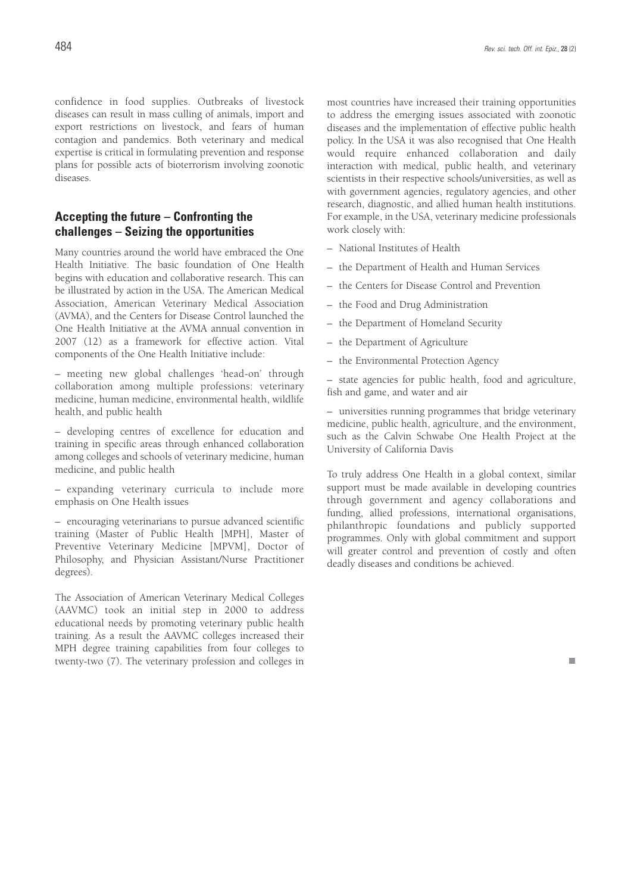confidence in food supplies. Outbreaks of livestock diseases can result in mass culling of animals, import and export restrictions on livestock, and fears of human contagion and pandemics. Both veterinary and medical expertise is critical in formulating prevention and response plans for possible acts of bioterrorism involving zoonotic diseases.

# **Accepting the future – Confronting the challenges – Seizing the opportunities**

Many countries around the world have embraced the One Health Initiative. The basic foundation of One Health begins with education and collaborative research. This can be illustrated by action in the USA. The American Medical Association, American Veterinary Medical Association (AVMA), and the Centers for Disease Control launched the One Health Initiative at the AVMA annual convention in 2007 (12) as a framework for effective action. Vital components of the One Health Initiative include:

– meeting new global challenges 'head-on' through collaboration among multiple professions: veterinary medicine, human medicine, environmental health, wildlife health, and public health

– developing centres of excellence for education and training in specific areas through enhanced collaboration among colleges and schools of veterinary medicine, human medicine, and public health

– expanding veterinary curricula to include more emphasis on One Health issues

– encouraging veterinarians to pursue advanced scientific training (Master of Public Health [MPH], Master of Preventive Veterinary Medicine [MPVM], Doctor of Philosophy, and Physician Assistant/Nurse Practitioner degrees).

The Association of American Veterinary Medical Colleges (AAVMC) took an initial step in 2000 to address educational needs by promoting veterinary public health training. As a result the AAVMC colleges increased their MPH degree training capabilities from four colleges to twenty-two (7). The veterinary profession and colleges in most countries have increased their training opportunities to address the emerging issues associated with zoonotic diseases and the implementation of effective public health policy. In the USA it was also recognised that One Health would require enhanced collaboration and daily interaction with medical, public health, and veterinary scientists in their respective schools/universities, as well as with government agencies, regulatory agencies, and other research, diagnostic, and allied human health institutions. For example, in the USA, veterinary medicine professionals work closely with:

- National Institutes of Health
- the Department of Health and Human Services
- the Centers for Disease Control and Prevention
- the Food and Drug Administration
- the Department of Homeland Security
- the Department of Agriculture
- the Environmental Protection Agency

– state agencies for public health, food and agriculture, fish and game, and water and air

– universities running programmes that bridge veterinary medicine, public health, agriculture, and the environment, such as the Calvin Schwabe One Health Project at the University of California Davis

To truly address One Health in a global context, similar support must be made available in developing countries through government and agency collaborations and funding, allied professions, international organisations, philanthropic foundations and publicly supported programmes. Only with global commitment and support will greater control and prevention of costly and often deadly diseases and conditions be achieved.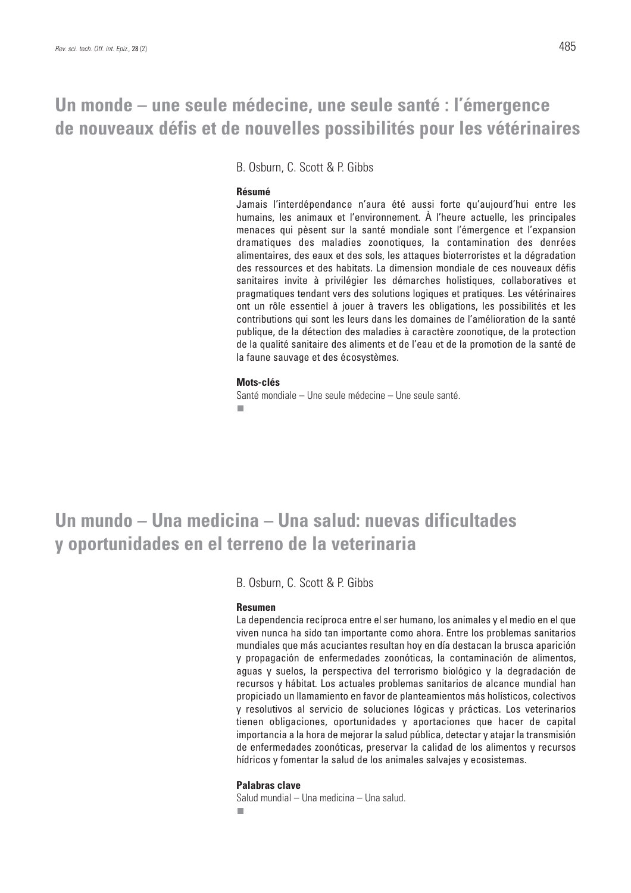# **Un monde – une seule médecine, une seule santé : l'émergence de nouveaux défis et de nouvelles possibilités pour les vétérinaires**

B. Osburn, C. Scott & P. Gibbs

#### **Résumé**

Jamais l'interdépendance n'aura été aussi forte qu'aujourd'hui entre les humains, les animaux et l'environnement. À l'heure actuelle, les principales menaces qui pèsent sur la santé mondiale sont l'émergence et l'expansion dramatiques des maladies zoonotiques, la contamination des denrées alimentaires, des eaux et des sols, les attaques bioterroristes et la dégradation des ressources et des habitats. La dimension mondiale de ces nouveaux défis sanitaires invite à privilégier les démarches holistiques, collaboratives et pragmatiques tendant vers des solutions logiques et pratiques. Les vétérinaires ont un rôle essentiel à jouer à travers les obligations, les possibilités et les contributions qui sont les leurs dans les domaines de l'amélioration de la santé publique, de la détection des maladies à caractère zoonotique, de la protection de la qualité sanitaire des aliments et de l'eau et de la promotion de la santé de la faune sauvage et des écosystèmes.

#### **Mots-clés**

Santé mondiale – Une seule médecine – Une seule santé. п

# **Un mundo – Una medicina – Una salud: nuevas dificultades y oportunidades en el terreno de la veterinaria**

B. Osburn, C. Scott & P. Gibbs

#### **Resumen**

La dependencia recíproca entre el ser humano, los animales y el medio en el que viven nunca ha sido tan importante como ahora. Entre los problemas sanitarios mundiales que más acuciantes resultan hoy en día destacan la brusca aparición y propagación de enfermedades zoonóticas, la contaminación de alimentos, aguas y suelos, la perspectiva del terrorismo biológico y la degradación de recursos y hábitat. Los actuales problemas sanitarios de alcance mundial han propiciado un llamamiento en favor de planteamientos más holísticos, colectivos y resolutivos al servicio de soluciones lógicas y prácticas. Los veterinarios tienen obligaciones, oportunidades y aportaciones que hacer de capital importancia a la hora de mejorar la salud pública, detectar y atajar la transmisión de enfermedades zoonóticas, preservar la calidad de los alimentos y recursos hídricos y fomentar la salud de los animales salvajes y ecosistemas.

#### **Palabras clave**

Salud mundial – Una medicina – Una salud.п